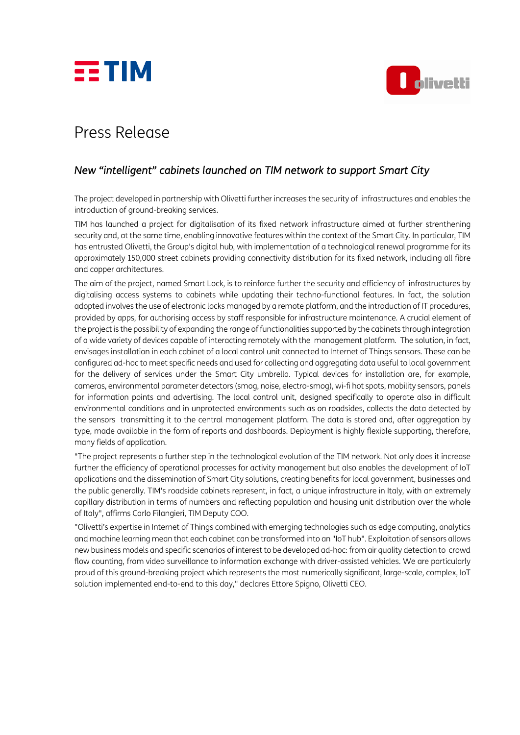



## Press Release

## *New "intelligent" cabinets launched on TIM network to support Smart City*

The project developed in partnership with Olivetti further increases the security of infrastructures and enables the introduction of ground-breaking services.

TIM has launched a project for digitalisation of its fixed network infrastructure aimed at further strenthening security and, at the same time, enabling innovative features within the context of the Smart City. In particular, TIM has entrusted Olivetti, the Group's digital hub, with implementation of a technological renewal programme for its approximately 150,000 street cabinets providing connectivity distribution for its fixed network, including all fibre and copper architectures.

The aim of the project, named Smart Lock, is to reinforce further the security and efficiency of infrastructures by digitalising access systems to cabinets while updating their techno-functional features. In fact, the solution adopted involves the use of electronic locks managed by a remote platform, and the introduction of IT procedures, provided by apps, for authorising access by staff responsible for infrastructure maintenance. A crucial element of the project is the possibility of expanding the range of functionalities supported by the cabinets through integration of a wide variety of devices capable of interacting remotely with the management platform. The solution, in fact, envisages installation in each cabinet of a local control unit connected to Internet of Things sensors. These can be configured ad-hoc to meet specific needs and used for collecting and aggregating data useful to local government for the delivery of services under the Smart City umbrella. Typical devices for installation are, for example, cameras, environmental parameter detectors (smog, noise, electro-smog), wi-fi hot spots, mobility sensors, panels for information points and advertising. The local control unit, designed specifically to operate also in difficult environmental conditions and in unprotected environments such as on roadsides, collects the data detected by the sensors transmitting it to the central management platform. The data is stored and, after aggregation by type, made available in the form of reports and dashboards. Deployment is highly flexible supporting, therefore, many fields of application.

"The project represents a further step in the technological evolution of the TIM network. Not only does it increase further the efficiency of operational processes for activity management but also enables the development of IoT applications and the dissemination of Smart City solutions, creating benefits for local government, businesses and the public generally. TIM's roadside cabinets represent, in fact, a unique infrastructure in Italy, with an extremely capillary distribution in terms of numbers and reflecting population and housing unit distribution over the whole of Italy", affirms Carlo Filangieri, TIM Deputy COO.

"Olivetti's expertise in Internet of Things combined with emerging technologies such as edge computing, analytics and machine learning mean that each cabinet can be transformed into an "IoT hub". Exploitation of sensors allows new business models and specific scenarios of interest to be developed ad-hoc: from air quality detection to crowd flow counting, from video surveillance to information exchange with driver-assisted vehicles. We are particularly proud of this ground-breaking project which represents the most numerically significant, large-scale, complex, IoT solution implemented end-to-end to this day," declares Ettore Spigno, Olivetti CEO.